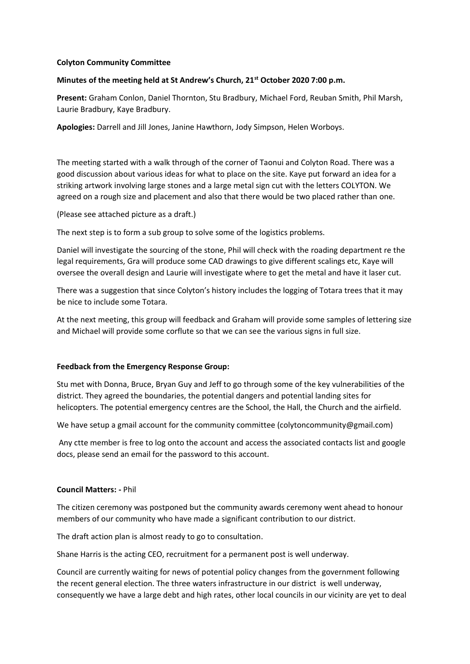## **Colyton Community Committee**

### **Minutes of the meeting held at St Andrew's Church, 21st October 2020 7:00 p.m.**

**Present:** Graham Conlon, Daniel Thornton, Stu Bradbury, Michael Ford, Reuban Smith, Phil Marsh, Laurie Bradbury, Kaye Bradbury.

**Apologies:** Darrell and Jill Jones, Janine Hawthorn, Jody Simpson, Helen Worboys.

The meeting started with a walk through of the corner of Taonui and Colyton Road. There was a good discussion about various ideas for what to place on the site. Kaye put forward an idea for a striking artwork involving large stones and a large metal sign cut with the letters COLYTON. We agreed on a rough size and placement and also that there would be two placed rather than one.

(Please see attached picture as a draft.)

The next step is to form a sub group to solve some of the logistics problems.

Daniel will investigate the sourcing of the stone, Phil will check with the roading department re the legal requirements, Gra will produce some CAD drawings to give different scalings etc, Kaye will oversee the overall design and Laurie will investigate where to get the metal and have it laser cut.

There was a suggestion that since Colyton's history includes the logging of Totara trees that it may be nice to include some Totara.

At the next meeting, this group will feedback and Graham will provide some samples of lettering size and Michael will provide some corflute so that we can see the various signs in full size.

# **Feedback from the Emergency Response Group:**

Stu met with Donna, Bruce, Bryan Guy and Jeff to go through some of the key vulnerabilities of the district. They agreed the boundaries, the potential dangers and potential landing sites for helicopters. The potential emergency centres are the School, the Hall, the Church and the airfield.

We have setup a gmail account for the community committee (colytoncommunity@gmail.com)

Any ctte member is free to log onto the account and access the associated contacts list and google docs, please send an email for the password to this account.

#### **Council Matters: -** Phil

The citizen ceremony was postponed but the community awards ceremony went ahead to honour members of our community who have made a significant contribution to our district.

The draft action plan is almost ready to go to consultation.

Shane Harris is the acting CEO, recruitment for a permanent post is well underway.

Council are currently waiting for news of potential policy changes from the government following the recent general election. The three waters infrastructure in our district is well underway, consequently we have a large debt and high rates, other local councils in our vicinity are yet to deal